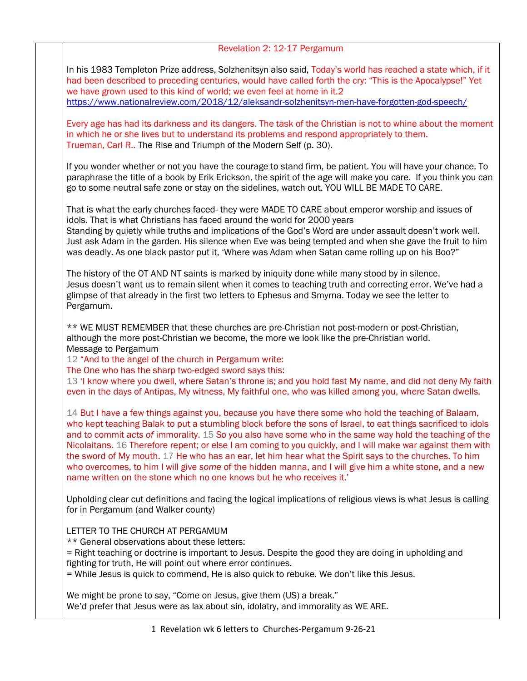## Revelation 2: 12-17 Pergamum

In his 1983 Templeton Prize address, Solzhenitsyn also said, Today's world has reached a state which, if it had been described to preceding centuries, would have called forth the cry: "This is the Apocalypse!" Yet we have grown used to this kind of world; we even feel at home in it.2 <https://www.nationalreview.com/2018/12/aleksandr-solzhenitsyn-men-have-forgotten-god-speech/> Every age has had its darkness and its dangers. The task of the Christian is not to whine about the moment in which he or she lives but to understand its problems and respond appropriately to them.

Trueman, Carl R.. The Rise and Triumph of the Modern Self (p. 30).

If you wonder whether or not you have the courage to stand firm, be patient. You will have your chance. To paraphrase the title of a book by Erik Erickson, the spirit of the age will make you care. If you think you can go to some neutral safe zone or stay on the sidelines, watch out. YOU WILL BE MADE TO CARE.

That is what the early churches faced- they were MADE TO CARE about emperor worship and issues of idols. That is what Christians has faced around the world for 2000 years

Standing by quietly while truths and implications of the God's Word are under assault doesn't work well. Just ask Adam in the garden. His silence when Eve was being tempted and when she gave the fruit to him was deadly. As one black pastor put it, 'Where was Adam when Satan came rolling up on his Boo?"

The history of the OT AND NT saints is marked by iniquity done while many stood by in silence. Jesus doesn't want us to remain silent when it comes to teaching truth and correcting error. We've had a glimpse of that already in the first two letters to Ephesus and Smyrna. Today we see the letter to Pergamum.

\*\* WE MUST REMEMBER that these churches are pre-Christian not post-modern or post-Christian, although the more post-Christian we become, the more we look like the pre-Christian world. Message to Pergamum

12 "And to the angel of the church in Pergamum write:

The One who has the sharp two-edged sword says this:

13 'I know where you dwell, where Satan's throne is; and you hold fast My name, and did not deny My faith even in the days of Antipas, My witness, My faithful one, who was killed among you, where Satan dwells.

14 But I have a few things against you, because you have there some who hold the teaching of Balaam, who kept teaching Balak to put a stumbling block before the sons of Israel, to eat things sacrificed to idols and to commit *acts of* immorality. 15 So you also have some who in the same way hold the teaching of the Nicolaitans. 16 Therefore repent; or else I am coming to you quickly, and I will make war against them with the sword of My mouth. 17 He who has an ear, let him hear what the Spirit says to the churches. To him who overcomes, to him I will give *some* of the hidden manna, and I will give him a white stone, and a new name written on the stone which no one knows but he who receives it.'

Upholding clear cut definitions and facing the logical implications of religious views is what Jesus is calling for in Pergamum (and Walker county)

## LETTER TO THE CHURCH AT PERGAMUM

\*\* General observations about these letters:

= Right teaching or doctrine is important to Jesus. Despite the good they are doing in upholding and fighting for truth, He will point out where error continues.

= While Jesus is quick to commend, He is also quick to rebuke. We don't like this Jesus.

We might be prone to say, "Come on Jesus, give them (US) a break." We'd prefer that Jesus were as lax about sin, idolatry, and immorality as WE ARE.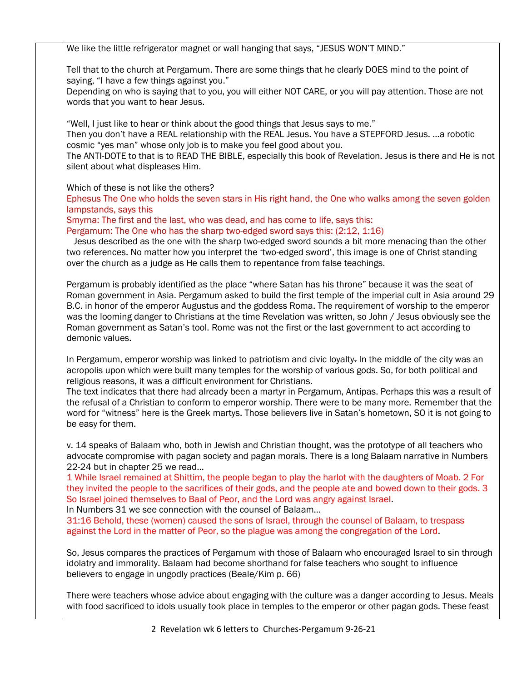We like the little refrigerator magnet or wall hanging that says, "JESUS WON'T MIND."

Tell that to the church at Pergamum. There are some things that he clearly DOES mind to the point of saying, "I have a few things against you."

Depending on who is saying that to you, you will either NOT CARE, or you will pay attention. Those are not words that you want to hear Jesus.

"Well, I just like to hear or think about the good things that Jesus says to me."

Then you don't have a REAL relationship with the REAL Jesus. You have a STEPFORD Jesus. …a robotic cosmic "yes man" whose only job is to make you feel good about you.

The ANTI-DOTE to that is to READ THE BIBLE, especially this book of Revelation. Jesus is there and He is not silent about what displeases Him.

Which of these is not like the others?

Ephesus The One who holds the seven stars in His right hand, the One who walks among the seven golden lampstands, says this

Smyrna: The first and the last, who was dead, and has come to life, says this:

Pergamum: The One who has the sharp two-edged sword says this: (2:12, 1:16)

 Jesus described as the one with the sharp two-edged sword sounds a bit more menacing than the other two references. No matter how you interpret the 'two-edged sword', this image is one of Christ standing over the church as a judge as He calls them to repentance from false teachings.

Pergamum is probably identified as the place "where Satan has his throne" because it was the seat of Roman government in Asia. Pergamum asked to build the first temple of the imperial cult in Asia around 29 B.C. in honor of the emperor Augustus and the goddess Roma. The requirement of worship to the emperor was the looming danger to Christians at the time Revelation was written, so John / Jesus obviously see the Roman government as Satan's tool. Rome was not the first or the last government to act according to demonic values.

In Pergamum, emperor worship was linked to patriotism and civic loyalty. In the middle of the city was an acropolis upon which were built many temples for the worship of various gods. So, for both political and religious reasons, it was a difficult environment for Christians.

The text indicates that there had already been a martyr in Pergamum, Antipas. Perhaps this was a result of the refusal of a Christian to conform to emperor worship. There were to be many more. Remember that the word for "witness" here is the Greek martys. Those believers live in Satan's hometown, SO it is not going to be easy for them.

v. 14 speaks of Balaam who, both in Jewish and Christian thought, was the prototype of all teachers who advocate compromise with pagan society and pagan morals. There is a long Balaam narrative in Numbers 22-24 but in chapter 25 we read…

1 While Israel remained at Shittim, the people began to play the harlot with the daughters of Moab. 2 For they invited the people to the sacrifices of their gods, and the people ate and bowed down to their gods. 3 So Israel joined themselves to Baal of Peor, and the Lord was angry against Israel.

In Numbers 31 we see connection with the counsel of Balaam…

31:16 Behold, these (women) caused the sons of Israel, through the counsel of Balaam, to trespass against the Lord in the matter of Peor, so the plague was among the congregation of the Lord.

So, Jesus compares the practices of Pergamum with those of Balaam who encouraged Israel to sin through idolatry and immorality. Balaam had become shorthand for false teachers who sought to influence believers to engage in ungodly practices (Beale/Kim p. 66)

There were teachers whose advice about engaging with the culture was a danger according to Jesus. Meals with food sacrificed to idols usually took place in temples to the emperor or other pagan gods. These feast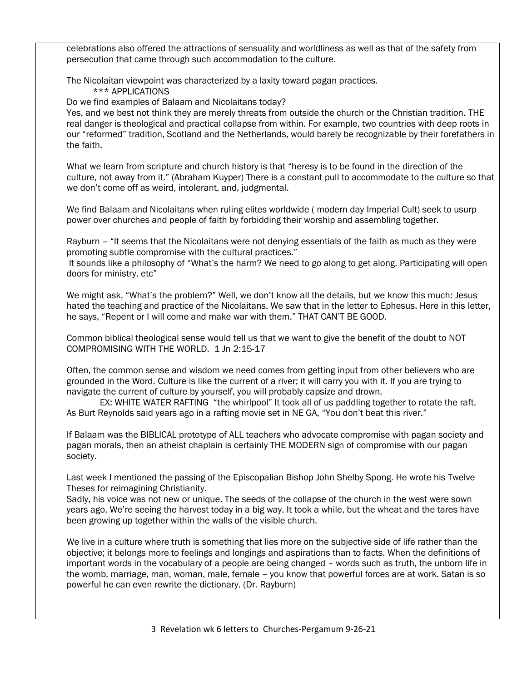celebrations also offered the attractions of sensuality and worldliness as well as that of the safety from persecution that came through such accommodation to the culture.

The Nicolaitan viewpoint was characterized by a laxity toward pagan practices.

\*\*\* APPLICATIONS

Do we find examples of Balaam and Nicolaitans today?

Yes, and we best not think they are merely threats from outside the church or the Christian tradition. THE real danger is theological and practical collapse from within. For example, two countries with deep roots in our "reformed" tradition, Scotland and the Netherlands, would barely be recognizable by their forefathers in the faith.

What we learn from scripture and church history is that "heresy is to be found in the direction of the culture, not away from it." (Abraham Kuyper) There is a constant pull to accommodate to the culture so that we don't come off as weird, intolerant, and, judgmental.

We find Balaam and Nicolaitans when ruling elites worldwide ( modern day Imperial Cult) seek to usurp power over churches and people of faith by forbidding their worship and assembling together.

Rayburn – "It seems that the Nicolaitans were not denying essentials of the faith as much as they were promoting subtle compromise with the cultural practices."

It sounds like a philosophy of "What's the harm? We need to go along to get along. Participating will open doors for ministry, etc"

We might ask, "What's the problem?" Well, we don't know all the details, but we know this much: Jesus hated the teaching and practice of the Nicolaitans. We saw that in the letter to Ephesus. Here in this letter, he says, "Repent or I will come and make war with them." THAT CAN'T BE GOOD.

Common biblical theological sense would tell us that we want to give the benefit of the doubt to NOT COMPROMISING WITH THE WORLD. 1 Jn 2:15-17

Often, the common sense and wisdom we need comes from getting input from other believers who are grounded in the Word. Culture is like the current of a river; it will carry you with it. If you are trying to navigate the current of culture by yourself, you will probably capsize and drown.

 EX: WHITE WATER RAFTING "the whirlpool" It took all of us paddling together to rotate the raft. As Burt Reynolds said years ago in a rafting movie set in NE GA, "You don't beat this river."

If Balaam was the BIBLICAL prototype of ALL teachers who advocate compromise with pagan society and pagan morals, then an atheist chaplain is certainly THE MODERN sign of compromise with our pagan society.

Last week I mentioned the passing of the Episcopalian Bishop John Shelby Spong. He wrote his Twelve Theses for reimagining Christianity.

Sadly, his voice was not new or unique. The seeds of the collapse of the church in the west were sown years ago. We're seeing the harvest today in a big way. It took a while, but the wheat and the tares have been growing up together within the walls of the visible church.

We live in a culture where truth is something that lies more on the subjective side of life rather than the objective; it belongs more to feelings and longings and aspirations than to facts. When the definitions of important words in the vocabulary of a people are being changed – words such as truth, the unborn life in the womb, marriage, man, woman, male, female – you know that powerful forces are at work. Satan is so powerful he can even rewrite the dictionary. (Dr. Rayburn)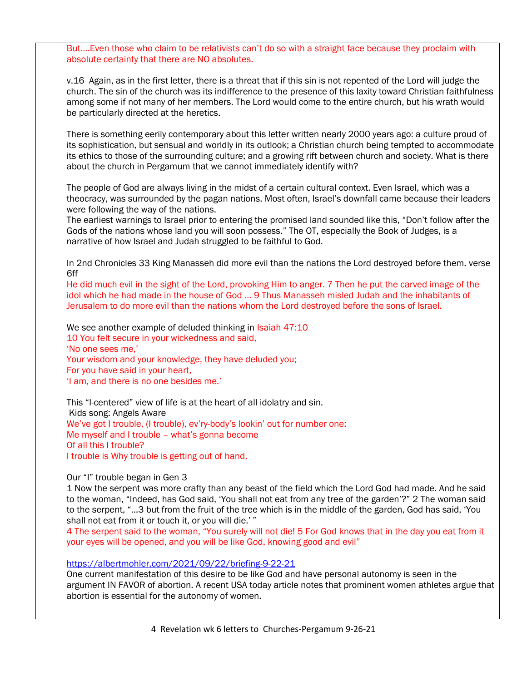But….Even those who claim to be relativists can't do so with a straight face because they proclaim with absolute certainty that there are NO absolutes.

v.16 Again, as in the first letter, there is a threat that if this sin is not repented of the Lord will judge the church. The sin of the church was its indifference to the presence of this laxity toward Christian faithfulness among some if not many of her members. The Lord would come to the entire church, but his wrath would be particularly directed at the heretics.

There is something eerily contemporary about this letter written nearly 2000 years ago: a culture proud of its sophistication, but sensual and worldly in its outlook; a Christian church being tempted to accommodate its ethics to those of the surrounding culture; and a growing rift between church and society. What is there about the church in Pergamum that we cannot immediately identify with?

The people of God are always living in the midst of a certain cultural context. Even Israel, which was a theocracy, was surrounded by the pagan nations. Most often, Israel's downfall came because their leaders were following the way of the nations.

The earliest warnings to Israel prior to entering the promised land sounded like this, "Don't follow after the Gods of the nations whose land you will soon possess." The OT, especially the Book of Judges, is a narrative of how Israel and Judah struggled to be faithful to God.

In 2nd Chronicles 33 King Manasseh did more evil than the nations the Lord destroyed before them. verse 6ff

He did much evil in the sight of the Lord, provoking Him to anger. 7 Then he put the carved image of the idol which he had made in the house of God … 9 Thus Manasseh misled Judah and the inhabitants of Jerusalem to do more evil than the nations whom the Lord destroyed before the sons of Israel.

We see another example of deluded thinking in Isaiah 47:10 10 You felt secure in your wickedness and said, 'No one sees me,' Your wisdom and your knowledge, they have deluded you; For you have said in your heart, 'I am, and there is no one besides me.'

This "I-centered" view of life is at the heart of all idolatry and sin. Kids song: Angels Aware We've got I trouble, (I trouble), ev'ry-body's lookin' out for number one; Me myself and I trouble – what's gonna become Of all this I trouble? I trouble is Why trouble is getting out of hand.

Our "I" trouble began in Gen 3

1 Now the serpent was more crafty than any beast of the field which the Lord God had made. And he said to the woman, "Indeed, has God said, 'You shall not eat from any tree of the garden'?" 2 The woman said to the serpent, "…3 but from the fruit of the tree which is in the middle of the garden, God has said, 'You shall not eat from it or touch it, or you will die.'"

4 The serpent said to the woman, "You surely will not die! 5 For God knows that in the day you eat from it your eyes will be opened, and you will be like God, knowing good and evil"

<https://albertmohler.com/2021/09/22/briefing-9-22-21>

One current manifestation of this desire to be like God and have personal autonomy is seen in the argument IN FAVOR of abortion. A recent USA today article notes that prominent women athletes argue that abortion is essential for the autonomy of women.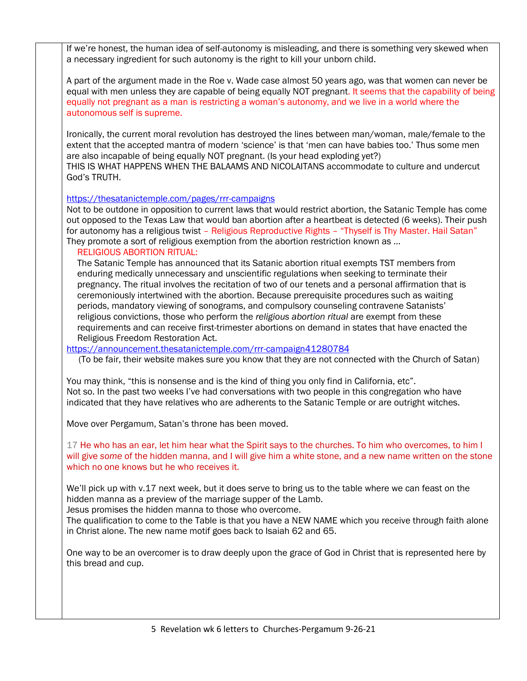If we're honest, the human idea of self-autonomy is misleading, and there is something very skewed when a necessary ingredient for such autonomy is the right to kill your unborn child.

A part of the argument made in the Roe v. Wade case almost 50 years ago, was that women can never be equal with men unless they are capable of being equally NOT pregnant. It seems that the capability of being equally not pregnant as a man is restricting a woman's autonomy, and we live in a world where the autonomous self is supreme.

Ironically, the current moral revolution has destroyed the lines between man/woman, male/female to the extent that the accepted mantra of modern 'science' is that 'men can have babies too.' Thus some men are also incapable of being equally NOT pregnant. (Is your head exploding yet?) THIS IS WHAT HAPPENS WHEN THE BALAAMS AND NICOLAITANS accommodate to culture and undercut

<https://thesatanictemple.com/pages/rrr-campaigns>

Not to be outdone in opposition to current laws that would restrict abortion, the Satanic Temple has come out opposed to the Texas Law that would ban abortion after a heartbeat is detected (6 weeks). Their push for autonomy has a religious twist – Religious Reproductive Rights – "Thyself is Thy Master. Hail Satan" They promote a sort of religious exemption from the abortion restriction known as ...

RELIGIOUS ABORTION RITUAL:

God's TRUTH.

The Satanic Temple has announced that its Satanic abortion ritual exempts TST members from enduring medically unnecessary and unscientific regulations when seeking to terminate their pregnancy. The ritual involves the recitation of two of our tenets and a personal affirmation that is ceremoniously intertwined with the abortion. Because prerequisite procedures such as waiting periods, mandatory viewing of sonograms, and compulsory counseling contravene Satanists' religious convictions, those who perform the *religious abortion ritual* are exempt from these requirements and can receive first-trimester abortions on demand in states that have enacted the Religious Freedom Restoration Act.

<https://announcement.thesatanictemple.com/rrr-campaign41280784>

(To be fair, their website makes sure you know that they are not connected with the Church of Satan)

You may think, "this is nonsense and is the kind of thing you only find in California, etc". Not so. In the past two weeks I've had conversations with two people in this congregation who have indicated that they have relatives who are adherents to the Satanic Temple or are outright witches.

Move over Pergamum, Satan's throne has been moved.

17 He who has an ear, let him hear what the Spirit says to the churches. To him who overcomes, to him I will give *some* of the hidden manna, and I will give him a white stone, and a new name written on the stone which no one knows but he who receives it.

We'll pick up with v.17 next week, but it does serve to bring us to the table where we can feast on the hidden manna as a preview of the marriage supper of the Lamb.

Jesus promises the hidden manna to those who overcome.

The qualification to come to the Table is that you have a NEW NAME which you receive through faith alone in Christ alone. The new name motif goes back to Isaiah 62 and 65.

One way to be an overcomer is to draw deeply upon the grace of God in Christ that is represented here by this bread and cup.